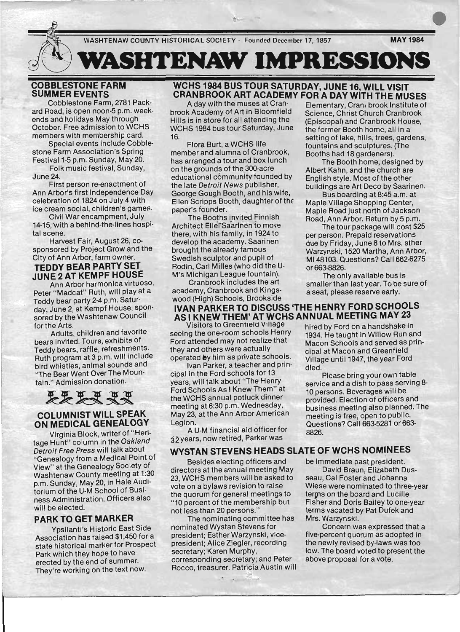9(~ ( **WASHTENAW IMPRESSIONS** 

# **COBBLESTONE FARM** \_ **SUMMER EVENTS**

Cobblestone Farm, 2781 Packard Road, is open noon-5 p.m. weekends and holidays May through October. Free admission to WCHS members with membership card.

Special events include Cobblestone Farm Association's Spring Festival 1-5 p.m. Sunday, May 20.

Folk music festival, Sunday, June 24.

First person re-enactment of Ann Arbor's first Independence Day celebration of 1824 on July 4 with ice cream social, children's games.

Civil War encampment, July 14-15,with a behind-the-lines hospital scene.

Harvest Fair, August 26, cosponsored by Project Grow and the City of Ann Arbor, farm owner.

# **TEDDY BEAR PARTY SET JUNE 2 AT KEMPF HOUSE**

Ann Arbor harmonica virtuoso, Peter "Madcat" Ruth, will play at a Teddy bear party 2-4 p.m. Saturday, June 2, at Kempf House, sponsored by the Washtenaw Council for the Arts.

Adults, children and favorite bears invited. Tours, exhibits of Teddy bears, raffle, refreshments. Ruth program at 3 p.m. will include bird whistles, animal sounds and "The Bear Went Over The Mountain." Admission donation.

. H XX

#### **COLUMNIST WILL SPEAK ON MEDICAL GENEALOGY**

Virginia Block, writer of "Heritage Hunt" column in the Oakland Detroit Free Press will talk about "Genealogy from a Medical Point of View" at the Genealogy Society of Washtenaw County meeting at 1:30 p.m. Sunday, May 20, in Hale Auditorium of the U-M School of Business Administration. Officers also will be elected.

#### **PARK TO GET MARKER**

Ypsilanti's Historic East Side Association has raised \$1,450 for a state historical marker for Prospect Park which they hope to have erected by the end of summer. They're working on the text now.

#### **WCHS 1984 BUS TOUR SATURDAY; JUNE 16, WILL VISIT CRANBROOK ART ACADEMY FOR A DAY WITH THE MUSES**

brook Academy of Art in Bloomfield Science, Christ Church Cranbrook Hills is in store for all attending the (Episcopal) and Cranbrook House, WCHS 1984 bus tour Saturday, June the former Booth home, all in a

member and alumna of Cranbrook, Booths had 18 gardeners). has arranged a tour and box lunch The Booth home, designed by on the grounds of the 300-acre Albert Kahn, and the church are educational community founded by English style. Most of the other the late Detroit News publisher, buildings are Art Deco by Saarinen. George Gough Booth, and his wife, Bus boarding at 8:45 a.m. at Ellen Scripps Booth, daughter of the Maple Village Shopping Center. paper's founder. Maple Road just north of Jackson

Architect Elier Saarinen to move<br>The tour package will cost \$25 there, with his family, in 1924 to per person. Prepaid reservations Rodin, Carl Milles (who did the U- or 663-8826. M's Michigan League fountain). The only available bus is

Cranbrook includes the art smaller than last year. To be sure of academy, Cranbrook and Kings- a seat, please reserve early. wood (High) Schools, Brookside

# **IVAN PARKER** TO DISCUSS **'THE HENRY FORD SCHOOLS AS I KNEW THEM' AT WCHS ANNUAL MEETING MAY 23**

seeing the one-room schools Henry 1934. He taught in Willow Run and Ford attended may not realize that Macon Schools and served as printhey and others were actually cipal at Macon and Greenfield

Ivan Parker, a teacher and prin-<br>died. cipal in the Ford schools for 13 Please bring your own table Ford Schools As I Knew Them" at 10 persons. Beverages will be the WCHS annual potluck dinner provided. Election of officers and May 23, at the Ann Arbor American meeting is free, open to public.

A U-M financial aid officer for  $\frac{20}{8826}$ . 32years, now retired, Parker was

#### **WYSTAN STEVENS HEADS SLATE OF WCHS NOMINEES**

Besides electing officers and directors at the annual meeting May 23. WCHS members will be asked to vote on a bylaws revision to raise the quorum for general meetings to "10 percent of the membership but not less than 20 persons.'

The nominating committee has nominated Wystan Stevens for president; Esther Warzynski, vicepresident; Alice Ziegler, recording secretary; Karen Murphy, corresponding secretary; and Peter Rocco, treasurer. Patricia Austin will

~

A day with the muses at Cran-<br>Elementary, Cran. brook Institute of 16. Setting of lake, hills, trees, gardens,<br>Flora Burt, a WCHS life fountains and sculptures (The fountains and sculptures. (The

The Booths invited Finnish<br>Road, Ann Arbor. Return by 5 p.m.

develop the academy. Saarinen due by Friday, June 8 to Mrs. sther brought the already famous<br>
Warzynski, 1520 Martha, Ann Arbor,<br>
MI 48103 Questions? Call 662.6275 MI 48103. Questions? Call 662-6275.

Visitors to Greentield Village hired by Ford on a handshake in operated by him as private schools. Village until 1947, the year Ford

years, will talk about "The Henry service and a dish to pass serving 8meeting at 6:30 p.m. Wednesday, business meeting also planned. The Legion. Questions? Call 663-5281 or 663-

be immediate past president. David Braun, Elizabeth Dus-

seau, Cal Foster and Johanna Wiese were nominated to three-year terms on the board and Lucille Fisher and Doris Bailey to one-year terms vacated by Pat Dufek and Mrs. Warzynski.

Concern was expressed that a five-percent quorum as adopted in the newly revised by-laws was too low. The board voted to present the . above proposal for a vote.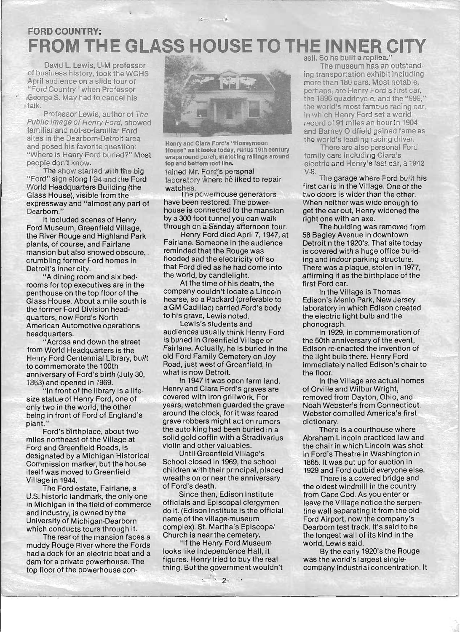# **FORD COUNTRY: FROM THE GLASS HOUSE TO THE INNER (**

David L. Lewis, U-M professor of business history, took the WCHS April audience on a slide tour of "Ford Country" when Professor George S. May had to cancel his I talk.

Professor Lewis, author of The Public Image of Henry Ford, showed familiar and not-so-familiar Ford sites in the Dearborn-Detroit area and posed his favorite question: "Where is Henry Ford buried?" Most people don't know.

The show started with the big "Ford" sign along 1-94 and the Ford World Headquarters Building (the Glass House), visible from the expressway and "almost any part of Dearborn."

It included scenes of Henry Ford Museum, Greenfield Village, the River Rouge and Highland Park plants, of course, and Fairlane mansion but also showed obscure, . crumbling former Ford homes in Detroit's inner city.

"A dining room and six bedrooms for top executives are in the penthouse on the top floor of the Glass House. About a mile south is the former Ford Division headquarters, now Ford's N'orth American Automotive operations headquarters.

"Across and down the street from World Headquarters is the Henry Ford Centennial Library, built to commemorate the 100th anniversary of Ford's birth (July 30, 1863) and opened in 1969.

"In front of the library is a lifesize statue of Henry Ford, one of only two in the world, the other being in front of Ford of England's plant."

Ford's birthplace, about two miles northeast of the Village at Ford and Greenfield Roads, is designated by a Michigan Historical Commission marker, but the house itself was moved to Greenfield Village in 1944.

The Ford estate, Fairlane, a U.S. historic landmark, the only one in Michigan in the field of commerce and industry, is owned by the University of Michigan-Dearborn which conducts tours through it.

The rear of the mansion faces a muddy Rouge River where the Fords had a dock for an electric boat and a dam for a private powerhouse. The top floor of the powerhouse con-



Henry and Clara Ford's "Honeymoon House" as It looks today, minus 19th century wraparound porch, matching railings around top and bottom roof line.

tained Mr. Ford's perspnal laboratory where he liked to repair watches.

The powerhouse generators have been restored. The powerhouse is connected to the mansion by a 300 foot tunnel you can walk through on a Sunday afternoon tour.

Henry Ford died April 7, 1947, at Fairlane. Someone in the audience reminded that the Rouge was flooded and the electricity off so that Ford died as he had come into the world, by candlelight.

At the time of his death, the company couldn't locate a Lincoln hearse, so a Packard (preferable to a GM Cadillac) carried Ford's body to his grave, Lewis noted.

Lewis's students and audiences usually think Henry Ford is buried in Greenfield Village or Fairlane. Actually, he is buried in the old Ford Family Cemetery on Joy Road, just west of Greenfield, in what is now Detroit.

In 1947 it was open farm land. Henry and Clara Ford's graves are covered with iron grillwork. For years, watchmen guarded the grave around the clock, for it was feared grave robbers might act on rumors the auto king had been buried in a solid gold coffin with a Stradivarius violin and other valuables.

Until Greenfield Village's School closed in 1969, the school children with their principal, placed wreaths on or near the anniversary of Ford's death.

Since then, Edison Institute officials and Episcopal clergymen do it. (Edison Institute is the official name of the village-museum complex). St. Martha's Episcopal Church is near the cemetery.

"If the Henry Ford Museum looks like Independence Hall, it figures. Henry tried to buy the real thing. But the government wouldn't sell. So he built a replica."

The museum has an outstanding transportation exhibit inciuding more than 180 cars. Most notable, perhaps, are Henry Ford's first car, the 1896 quadricycle, and the "999," the world's most famous racing car, in which Henry Ford set a world record of 91 miles an hour in 1904 and Barney Oldfield gained fame as the world's leading racing driver.

There are also personal Ford family cars including Clara's electric and Henry's last car, a 1942 V-B.

The garage where Ford built his first car is in the Village. One of the two doors is wider than the other. When neither was wide enough to get the car out, Henry widened the right one with an axe.

The building was removed from 58 Bagley Avenue in downtown Detroit n the 1920's. That site today is covered with a huge office building and indoor parking structure. There was a plaque, stolen in 1977, affirming it as the birthplace of the first Ford car.

In the Village is Thomas Edison's Menlo Park, New Jersey laboratory in which Edison created the electric light bulb and the phonograph.

In 1929, in commemoration of the 50th anniversary of the event, Edison re-enacted the invention of the light bulb there. Henry Ford immediately nailed Edison's chair to the floor.

In the Village are actual homes of Orville and Wilbur Wright, removed from Dayton, Ohio, and Noah Webster's from Connecticut. Webster compiled America's first dictionary.

There is a courthouse where Abraham Lincoln practiced law and the chair in which Lincoln was shot in Ford's Theatre in Washington in 1865. It was put up for auction in 1929 and Ford outbid everyone else.

There is a covered bridge and the oldest windmill in the country from Cape Cod. As you enter or leave the Village notice the serpentine wall separating it from the old Ford Airport, now the company's Dearborn test track. It's said to be the longest wall of its kind in the world, Lewis said.

By the early 1920's the Rouge was the world's largest singlecompany industrial concentration. It

~---- --~--------------------~--~~------------------------~----------------~----------~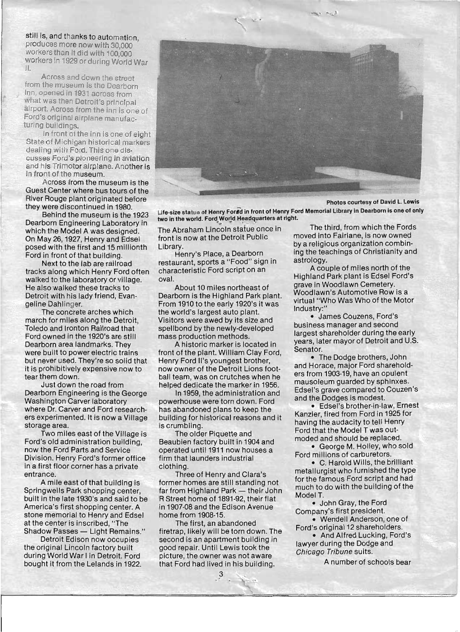still is, and thanks to automation produces more now with 30,000 workers than it did with 100,000 workers in 1929 or during World War II.

. Across and dewn the street from the museum is the Dearborn Inn, opened in 1931 across from what was then Detroit's principal airport. Across from the inn is one of Ford's original airplane manufacturing buildings.

In front of the inn is one of eight State of Michigan historical markers dealing with Ford. This one discusses Ford's pioneering in aviation and his Trimotor airplane. Another is in front of the museum.

Across from the museum is the Guest Center where bus tours of the River Rouge plant originated before they were discontinued in 1980.

Behind the museum is the 1923 Dearborn Engineering Laboratory in which the Model A was designed. On May 26, 1927, Henry and Edsel posed with the first and 15 millionth Ford in front of that building.

Next to the lab are railroad tracks along which Henry Ford often walked to the laboratory or village. He also walked these tracks to Detroit with his lady friend, Evangeline Dahlinger.

The concrete arches which march for miles along the Detroit, Toledo and Ironton Railroad that Ford owned in the 1920's are still Dearborn area landmarks. They were built to power electric trains but never used. They're so solid that it is prohibitively expensive now to tear them down.

Just down the road from Dearborn Engineering is the George Washington Carver laboratory where Dr. Carver and Ford researchers experimented. It is now a Village storage area.

Two miles east of the Village is Ford's old administration building, now the Ford Parts and Service Division. Henry Ford's former office in a first floor corner has a private entrance.

A mile east of that building is Springwells Park shopping center built in the late 1930's and said to be America's first shopping center. A stone memorial to Henry and Edsel at the center is inscribed, "The Shadow Passes - Light Remains."

Detroit Edison now occupies the original Lincoln factory built during World War I in Detroit. Ford bought it from the Lelands in 1922.



Photos courtesy of David L. Lewis Life-size statue of Henry Forad in front of Henry Ford Memorial Library in Dearborn is one of only two in the world. Ford World Headquarters at right.

front is now at the Detroit Public moved into Fairlane, is now owned Library. by a religious organization combin-

restaurant, sports a "Food" sign in astrology.<br>characteristic Ford script on an A couple of miles north of the characteristic Ford script on an

Dearborn is the Highland Park plant. Woodlawn's Automotive Row is a Bearborn's the riightand r ark plant.<br>From 1910 to the early 1920's it was virtual "Who Was Who of the Motor" the world's largest auto plant.<br>Visites was a wed by the size and Visitors were awed by its size and spellbond by the newly-developed business manager and second spendord by the newly-developed<br>mass production methods.

front of the plant. William Clay Ford, Senator.<br>
Senator Carl Blant. William Clay Ford, Clay Ford, The Dodge brothers, John Henry Ford II's youngest brother, now owner of the Detroit Lions foot- and Horace, major Ford shareholdball team, was on crutches when he ers from 1903-19, have an opulent helped dedicate the marker in 1956. mausoleum guarded by sphinxes.

powerhouse were torn down. Ford and the Dodges is modest. has abandoned plans to keep the • Edsel's brother-in-law, Ernest building for historical reasons and it Kanzler, fired from Ford In 1925 for building for instorted reasons and it<br>is crumbling.

Beaubien factory built in 1904 and<br> **Beaubien factory built in 1904 and** moded and should be replaced.<br>
• George M. Holley, who sold operated until 1911 now houses a firm that launders industrial Ford millions of carburetors. Firm that launders muustrial valley C. Harold Wills, the brilliant clothing.

former homes are still standing not for the famous Ford script and had from Highland Park  $-$  their John much to do with the building of the far from Highland Park  $-$  their John Model T. R Street home of 1891-92, their flat Model T.<br>All the Edison Avenue of the Edison Avenue of John Gray, the Ford in 1907-08 and the Edison Avenue home from 1908-15. Company's first president.

firetrap, likely will be torn down. The Ford's original 12 shareholders.<br>• And Alfred Lucking, Ford's second is an apartment building in **Ford's Alfred Lucking, Ford's Alfred Lucking**, Ford's Hangred Lucking, Ford's Hangred Lucking, Ford's Hangred Lucking, Ford's Hangred Lucking, Ford's Hangred Lucking, Ford's Hangred Luck good repair. Until Lewis took the lawyer during the Doug<br>chicago Tribune suits. picture, the owner was not aware that Ford had lived in his building. A number of schools bear

3

The Abraham Lincoln stafue once in The third, from which the Fords Henry's Place, a Dearborn ing the teachings of Christianity and

oval. Highland Park plant is Edsel Ford's About 10 miles northeast of grave in Woodlawn Cemetery.

A historic marker is located in years, later mayor of Detroit and U.S.

In 1959, the administration and Edsel's grave compared to Couzen's

The older Piquette and Ford that the Model T was out-

ing.<br>Three of Henry and Clara's metallurgist who furnished the type

The first an abandoned • Wendell Anderson, one of